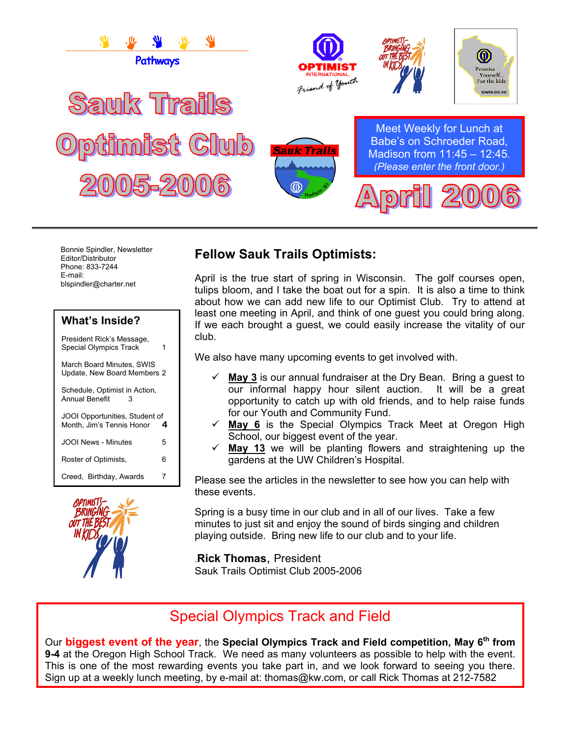

Bonnie Spindler, Newsletter Editor/Distributor Phone: 833-7244 E-mail: blspindler@charter.net

#### **What's Inside?**

President Rick's Message, Special Olympics Track 1

March Board Minutes, SWIS Update, New Board Members 2

Schedule, Optimist in Action,<br>Annual Benefit Annual Benefit 3

JOOI Opportunities, Student of Month, Jim's Tennis Honor **4**  JOOI News - Minutes 5

Roster of Optimists, 6

Creed, Birthday, Awards 7



### **Fellow Sauk Trails Optimists:**

April is the true start of spring in Wisconsin. The golf courses open, tulips bloom, and I take the boat out for a spin. It is also a time to think about how we can add new life to our Optimist Club. Try to attend at least one meeting in April, and think of one guest you could bring along. If we each brought a guest, we could easily increase the vitality of our club.

We also have many upcoming events to get involved with.

- $\checkmark$  May 3 is our annual fundraiser at the Dry Bean. Bring a guest to our informal happy hour silent auction. It will be a great opportunity to catch up with old friends, and to help raise funds for our Youth and Community Fund.
- 9 **May 6** is the Special Olympics Track Meet at Oregon High School, our biggest event of the year.
- May 13 we will be planting flowers and straightening up the gardens at the UW Children's Hospital.

Please see the articles in the newsletter to see how you can help with these events.

Spring is a busy time in our club and in all of our lives. Take a few minutes to just sit and enjoy the sound of birds singing and children playing outside. Bring new life to our club and to your life.

.**Rick Thomas**, President

Sauk Trails Optimist Club 2005-2006

# Special Olympics Track and Field

Our **biggest event of the year**, the **Special Olympics Track and Field competition, May 6th from 9-4** at the Oregon High School Track. We need as many volunteers as possible to help with the event. This is one of the most rewarding events you take part in, and we look forward to seeing you there. Sign up at a weekly lunch meeting, by e-mail at: thomas@kw.com, or call Rick Thomas at 212-7582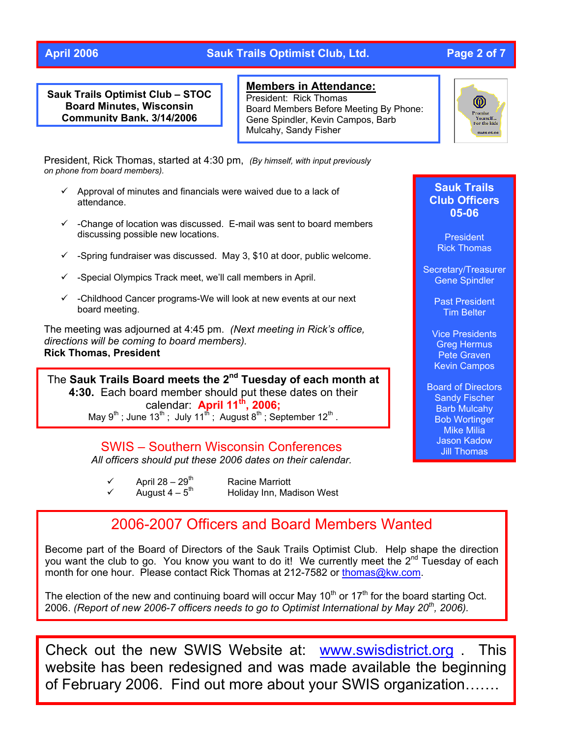#### **April 2006 Sauk Trails Optimist Club, Ltd. Page 2 of 7**

**Sauk Trails Optimist Club – STOC Board Minutes, Wisconsin Community Bank, 3/14/2006**

**Members in Attendance:**

President: Rick Thomas Board Members Before Meeting By Phone: Gene Spindler, Kevin Campos, Barb Mulcahy, Sandy Fisher

President, Rick Thomas, started at 4:30 pm, *(By himself, with input previously on phone from board members).* 

- $\checkmark$  Approval of minutes and financials were waived due to a lack of attendance.
- $\checkmark$  -Change of location was discussed. E-mail was sent to board members discussing possible new locations.
- $\checkmark$  -Spring fundraiser was discussed. May 3, \$10 at door, public welcome.
- $\checkmark$  -Special Olympics Track meet, we'll call members in April.
- $\checkmark$  -Childhood Cancer programs-We will look at new events at our next board meeting.

The meeting was adjourned at 4:45 pm. *(Next meeting in Rick's office, directions will be coming to board members).*  **Rick Thomas, President** 

The Sauk Trails Board meets the 2<sup>nd</sup> Tuesday of each month at **4:30.** Each board member should put these dates on their dar: **April 11th** calen **, 2006;** May 9<sup>th</sup>; June 13<sup>th</sup>; July 11<sup>th</sup>; August 8<sup>th</sup>; September 12<sup>th</sup>.

SWIS – Southern Wisconsin Conferences

*All officers should put these 2006 dates on their calendar.* 

- $\checkmark$  April 28 29<sup>th</sup> Racine Marriott <br>
→ August 4 5<sup>th</sup> Holiday Inn, Ma
	- Holiday Inn, Madison West

### 2006-2007 Officers and Board Members Wanted

Become part of the Board of Directors of the Sauk Trails Optimist Club. Help shape the direction you want the club to go. You know you want to do it! We currently meet the  $2^{nd}$  Tuesday of each month for one hour. Please contact Rick Thomas at 212-7582 or [thomas@kw.com](mailto:thomas@kw.com).

The election of the new and continuing board will occur May  $10<sup>th</sup>$  or  $17<sup>th</sup>$  for the board starting Oct. 2006. *(Report of new 2006-7 officers needs to go to Optimist International by May 20th, 2006).* 

Check out the new SWIS Website at: [www.swisdistrict.org](http://www.swisdistrict.org/) . This website has been redesigned and was made available the beginning of February 2006. Find out more about your SWIS organization…….



#### **Sauk Trails Club Officers 05-06**

President Rick Thomas

Secretary/Treasurer Gene Spindler

> Past President Tim Belter

Vice Presidents Greg Hermus Pete Graven Kevin Campos

Board of Directors Sandy Fischer Barb Mulcahy Bob Wortinger Mike Milia Jason Kadow Jill Thomas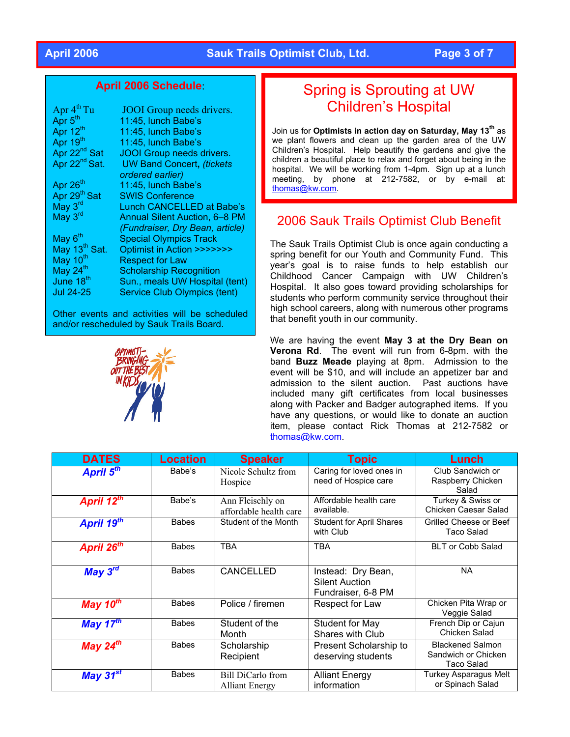#### **April 2006 Sauk Trails Optimist Club, Ltd. Page 3 of 7**

#### **April 2006 Schedule**:

| Apr $4^{th}$ Tu           | <b>JOOI</b> Group needs drivers.     |
|---------------------------|--------------------------------------|
| Apr 5 <sup>th</sup>       | 11:45, lunch Babe's                  |
| Apr 12 <sup>th</sup>      | 11:45, lunch Babe's                  |
| Apr 19 <sup>th</sup>      | 11:45, lunch Babe's                  |
| Apr 22 <sup>nd</sup> Sat  | <b>JOOI</b> Group needs drivers.     |
| Apr 22 <sup>nd</sup> Sat. | <b>UW Band Concert, (tickets</b>     |
|                           | ordered earlier)                     |
| Apr 26 <sup>th</sup>      | 11:45, lunch Babe's                  |
| Apr 29 <sup>th</sup> Sat  | <b>SWIS Conference</b>               |
| May $3^{\text{rd}}$       | Lunch CANCELLED at Babe's            |
| May $3^{\text{rd}}$       | <b>Annual Silent Auction, 6-8 PM</b> |
|                           | (Fundraiser, Dry Bean, article)      |
| May 6 <sup>th</sup>       | <b>Special Olympics Track</b>        |
| May 13 <sup>th</sup> Sat. | Optimist in Action >>>>>>>           |
| May 10 <sup>th</sup>      | <b>Respect for Law</b>               |
| May 24 $th$               | <b>Scholarship Recognition</b>       |
| June 18 <sup>th</sup>     | Sun., meals UW Hospital (tent)       |
| Jul 24-25                 | <b>Service Club Olympics (tent)</b>  |

Other events and activities will be scheduled and/or rescheduled by Sauk Trails Board.



# Spring is Sprouting at UW Children's Hospital

Join us for **Optimists in action day on Saturday, May 13th** as we plant flowers and clean up the garden area of the UW Children's Hospital. Help beautify the gardens and give the children a beautiful place to relax and forget about being in the hospital. We will be working from 1-4pm. Sign up at a lunch meeting, by phone at 212-7582, or by e-mail at: [thomas@kw.com.](mailto:thomas@kw.com)

#### 2006 Sauk Trails Optimist Club Benefit

The Sauk Trails Optimist Club is once again conducting a spring benefit for our Youth and Community Fund. This year's goal is to raise funds to help establish our Childhood Cancer Campaign with UW Children's Hospital. It also goes toward providing scholarships for students who perform community service throughout their high school careers, along with numerous other programs that benefit youth in our community.

We are having the event **May 3 at the Dry Bean on Verona Rd**. The event will run from 6-8pm. with the band **Buzz Meade** playing at 8pm. Admission to the event will be \$10, and will include an appetizer bar and admission to the silent auction. Past auctions have included many gift certificates from local businesses along with Packer and Badger autographed items. If you have any questions, or would like to donate an auction item, please contact Rick Thomas at 212-7582 or [thomas@kw.com](mailto:thomas@kw.com).

| <b>DATES</b>            | <b>Location</b> | <b>Speaker</b>                                    | <b>Topic</b>                                                      | Lunch                                                        |
|-------------------------|-----------------|---------------------------------------------------|-------------------------------------------------------------------|--------------------------------------------------------------|
| April 5 <sup>th</sup>   | Babe's          | Nicole Schultz from<br>Hospice                    | Caring for loved ones in<br>need of Hospice care                  | Club Sandwich or<br>Raspberry Chicken<br>Salad               |
| April 12 <sup>th</sup>  | Babe's          | Ann Fleischly on<br>affordable health care        | Affordable health care<br>available.                              | Turkey & Swiss or<br>Chicken Caesar Salad                    |
| April 19th              | <b>Babes</b>    | Student of the Month                              | <b>Student for April Shares</b><br>with Club                      | Grilled Cheese or Beef<br>Taco Salad                         |
| April 26 <sup>th</sup>  | <b>Babes</b>    | <b>TBA</b>                                        | <b>TBA</b>                                                        | <b>BLT or Cobb Salad</b>                                     |
| May $3^{\overline{rd}}$ | <b>Babes</b>    | CANCELLED                                         | Instead: Dry Bean,<br><b>Silent Auction</b><br>Fundraiser, 6-8 PM | <b>NA</b>                                                    |
| May $10^{th}$           | <b>Babes</b>    | Police / firemen                                  | Respect for Law                                                   | Chicken Pita Wrap or<br>Veggie Salad                         |
| May $17^{th}$           | <b>Babes</b>    | Student of the<br>Month                           | Student for May<br><b>Shares with Club</b>                        | French Dip or Cajun<br>Chicken Salad                         |
| May $24th$              | <b>Babes</b>    | Scholarship<br>Recipient                          | Present Scholarship to<br>deserving students                      | <b>Blackened Salmon</b><br>Sandwich or Chicken<br>Taco Salad |
| May $31^{st}$           | <b>Babes</b>    | <b>Bill DiCarlo from</b><br><b>Alliant Energy</b> | <b>Alliant Energy</b><br>information                              | Turkey Asparagus Melt<br>or Spinach Salad                    |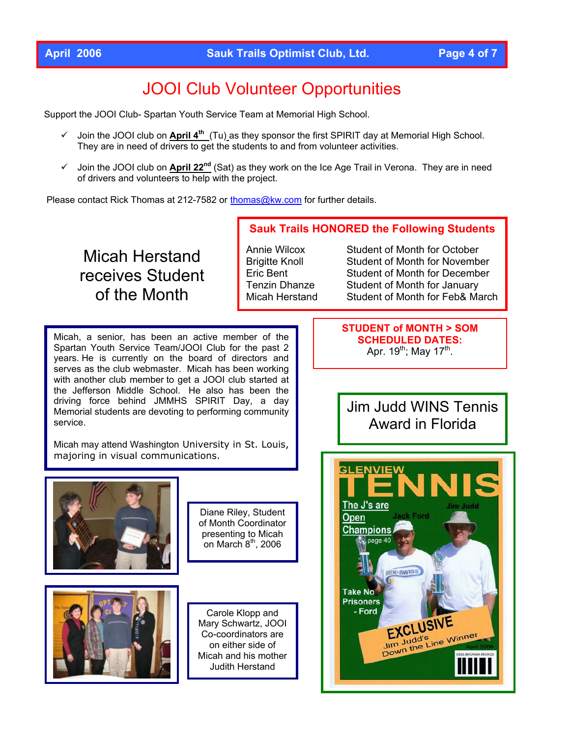# JOOI Club Volunteer Opportunities

Support the JOOI Club- Spartan Youth Service Team at Memorial High School.

- 9 Join the JOOI club on **April 4th** (Tu) as they sponsor the first SPIRIT day at Memorial High School. They are in need of drivers to get the students to and from volunteer activities.
- 9 Join the JOOI club on **April 22nd** (Sat) as they work on the Ice Age Trail in Verona. They are in need of drivers and volunteers to help with the project.

Please contact Rick Thomas at 212-7582 or [thomas@kw.com](mailto:thomas@kw.com) for further details.

# Micah Herstand receives Student of the Month

**Sauk Trails HONORED the Following Students** 

Annie Wilcox Student of Month for October Brigitte Knoll Student of Month for November Eric Bent Student of Month for December Tenzin Dhanze Student of Month for January Micah Herstand Student of Month for Feb& March

Micah, a senior, has been an active member of the Spartan Youth Service Team/JOOI Club for the past 2 years. He is currently on the board of directors and serves as the club webmaster. Micah has been working with another club member to get a JOOI club started at the Jefferson Middle School. He also has been the driving force behind JMMHS SPIRIT Day, a day Memorial students are devoting to performing community service.

Micah may attend Washington University in St. Louis, majoring in visual communications.



Diane Riley, Student of Month Coordinator presenting to Micah on March  $8<sup>th</sup>$ , 2006



Carole Klopp and Mary Schwartz, JOOI Co-coordinators are on either side of Micah and his mother Judith Herstand

**STUDENT of MONTH > SOM SCHEDULED DATES:**  Apr.  $19^{th}$ ; May  $17^{th}$ .

# Jim Judd WINS Tennis Award in Florida

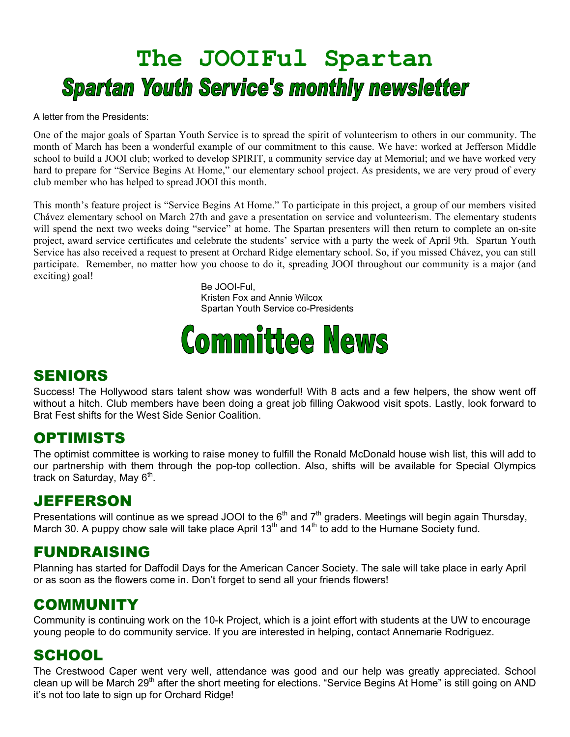# **The JOOIFul Spartan Spartan Youth Service's monthly newsletter**

A letter from the Presidents:

One of the major goals of Spartan Youth Service is to spread the spirit of volunteerism to others in our community. The month of March has been a wonderful example of our commitment to this cause. We have: worked at Jefferson Middle school to build a JOOI club; worked to develop SPIRIT, a community service day at Memorial; and we have worked very hard to prepare for "Service Begins At Home," our elementary school project. As presidents, we are very proud of every club member who has helped to spread JOOI this month.

This month's feature project is "Service Begins At Home." To participate in this project, a group of our members visited Chávez elementary school on March 27th and gave a presentation on service and volunteerism. The elementary students will spend the next two weeks doing "service" at home. The Spartan presenters will then return to complete an on-site project, award service certificates and celebrate the students' service with a party the week of April 9th. Spartan Youth Service has also received a request to present at Orchard Ridge elementary school. So, if you missed Chávez, you can still participate. Remember, no matter how you choose to do it, spreading JOOI throughout our community is a major (and exciting) goal!

> Be JOOI-Ful, Kristen Fox and Annie Wilcox Spartan Youth Service co-Presidents

# **Committee News**

#### SENIORS

Success! The Hollywood stars talent show was wonderful! With 8 acts and a few helpers, the show went off without a hitch. Club members have been doing a great job filling Oakwood visit spots. Lastly, look forward to Brat Fest shifts for the West Side Senior Coalition.

#### OPTIMISTS

The optimist committee is working to raise money to fulfill the Ronald McDonald house wish list, this will add to our partnership with them through the pop-top collection. Also, shifts will be available for Special Olympics track on Saturday, May  $6<sup>th</sup>$ .

## JEFFERSON

Presentations will continue as we spread JOOI to the 6<sup>th</sup> and 7<sup>th</sup> graders. Meetings will begin again Thursday, March 30. A puppy chow sale will take place April 13<sup>th</sup> and 14<sup>th</sup> to add to the Humane Society fund.

#### FUNDRAISING

Planning has started for Daffodil Days for the American Cancer Society. The sale will take place in early April or as soon as the flowers come in. Don't forget to send all your friends flowers!

## COMMUNITY

Community is continuing work on the 10-k Project, which is a joint effort with students at the UW to encourage young people to do community service. If you are interested in helping, contact Annemarie Rodriguez.

## **SCHOOL**

The Crestwood Caper went very well, attendance was good and our help was greatly appreciated. School clean up will be March 29<sup>th</sup> after the short meeting for elections. "Service Begins At Home" is still going on AND it's not too late to sign up for Orchard Ridge!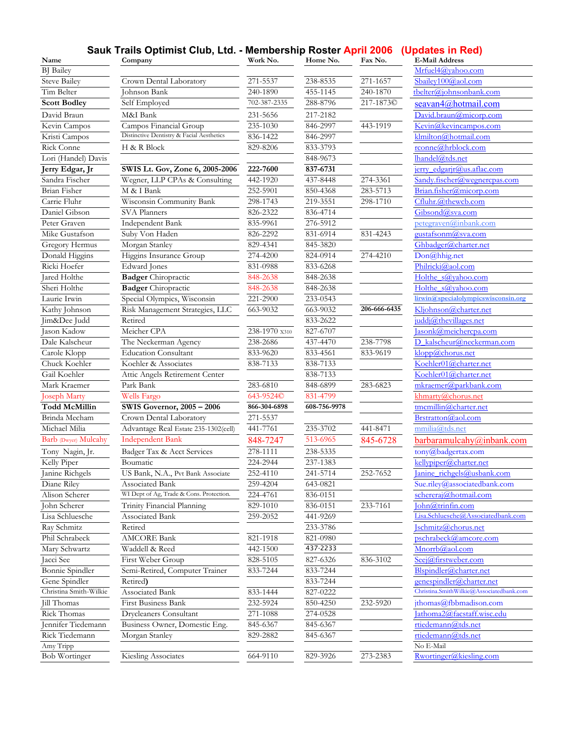|  | Sauk Trails Optimist Club, Ltd. - Membership Roster April 2006 (Updates in Red) |  |  |  |
|--|---------------------------------------------------------------------------------|--|--|--|
|--|---------------------------------------------------------------------------------|--|--|--|

| Name                           | Company                                                     | Work No.             | Home No.             | Fax No.      | <b>E-Mail Address</b>                                                |
|--------------------------------|-------------------------------------------------------------|----------------------|----------------------|--------------|----------------------------------------------------------------------|
| <b>BJ</b> Bailey               |                                                             |                      |                      |              | Mrfuel4@vahoo.com                                                    |
| <b>Steve Bailey</b>            | Crown Dental Laboratory                                     | 271-5537             | 238-8535             | 271-1657     | Sbailev100@aol.com                                                   |
| Tim Belter                     | Johnson Bank                                                | 240-1890             | 455-1145             | 240-1870     | tbelter@johnsonbank.com                                              |
| <b>Scott Bodley</b>            | Self Employed                                               | 702-387-2335         | 288-8796             | 217-1873C    | seavan4@hotmail.com                                                  |
| David Braun                    | M&I Bank                                                    | 231-5656             | 217-2182             |              | David.braun@micorp.com                                               |
| Kevin Campos                   | Campos Financial Group                                      | 235-1030             | 846-2997             | 443-1919     | Kevin@kevincampos.com                                                |
| Kristi Campos                  | Distinctive Dentistry & Facial Aesthetics                   | 836-1422             | 846-2997             |              | klmilton@hotmail.com                                                 |
| <b>Rick Conne</b>              | H & R Block                                                 | 829-8206             | 833-3793             |              | rconne@hrblock.com                                                   |
| Lori (Handel) Davis            |                                                             |                      | 848-9673             |              | lhandel@tds.net                                                      |
| Jerry Edgar, Jr                | SWIS Lt. Gov, Zone 6, 2005-2006                             | 222-7600             | 837-6731             |              | jerry edgarjr@us.aflac.com                                           |
| Sandra Fischer                 | Wegner, LLP CPAs & Consulting                               | 442-1920             | 437-8448             | 274-3361     | Sandy.fischer@wegnercpas.com                                         |
| Brian Fisher                   | M & I Bank                                                  | 252-5901             | 850-4368             | 283-5713     | Brian.fisher@micorp.com                                              |
| Carrie Fluhr                   | Wisconsin Community Bank                                    | 298-1743             | 219-3551             | 298-1710     | Cfluhr.@thewcb.com                                                   |
| Daniel Gibson                  | <b>SVA Planners</b>                                         | 826-2322             | 836-4714             |              | Gibsond@sva.com                                                      |
| Peter Graven                   | Independent Bank                                            | 835-9961             | 276-5912             |              | petegraven@inbank.com                                                |
| Mike Gustafson                 | Suby Von Haden                                              | 826-2292             | 831-6914             | 831-4243     | gustafsonm@sva.com                                                   |
| Gregory Hermus                 | Morgan Stanley                                              | 829-4341             | 845-3820             |              | Ghbadger@charter.net                                                 |
| Donald Higgins                 | Higgins Insurance Group                                     | 274-4200             | 824-0914             | 274-4210     | Don@hhig.net                                                         |
| Ricki Hoefer                   | Edward Jones                                                | 831-0988             | 833-6268             |              | Philricki@aol.com                                                    |
| Jared Holthe                   | <b>Badger</b> Chiropractic                                  | 848-2638             | 848-2638             |              | Holthe s@yahoo.com                                                   |
| Sheri Holthe                   | <b>Badger</b> Chiropractic                                  | 848-2638             | 848-2638             |              | Holthe s@yahoo.com                                                   |
| Laurie Irwin                   | Special Olympics, Wisconsin                                 | 221-2900             | 233-0543             |              | lirwin@specialolympicswisconsin.org                                  |
| Kathy Johnson                  | Risk Management Strategies, LLC                             | 663-9032             | 663-9032             | 206-666-6435 | Kljohnson@charter.net                                                |
| Jim&Dee Judd                   | Retired                                                     |                      | 833-2622             |              | juddj@thevillages.net                                                |
| Jason Kadow                    | Meicher CPA                                                 | 238-1970 x310        | 827-6707             |              | Iasonk@meichercpa.com                                                |
| Dale Kalscheur                 | The Neckerman Agency                                        | 238-2686             | 437-4470             | 238-7798     | D kalscheur@neckerman.com                                            |
| Carole Klopp                   | <b>Education Consultant</b>                                 | 833-9620             | 833-4561             | 833-9619     | klopp@chorus.net                                                     |
| Chuck Koehler                  | Koehler & Associates                                        | 838-7133             | 838-7133             |              | Koehler01@charter.net                                                |
| Gail Koehler                   | Attic Angels Retirement Center                              |                      | 838-7133             |              | Koehler01@charter.net                                                |
| Mark Kraemer                   | Park Bank                                                   | 283-6810             | 848-6899             | 283-6823     | mkraemer@parkbank.com                                                |
| Joseph Marty                   | Wells Fargo                                                 | 643-9524C            | 831-4799             |              | khmarty@chorus.net                                                   |
| Todd McMillin                  | SWIS Governor, 2005 - 2006                                  | 866-304-6898         | 608-756-9978         |              | $t$ mcmillin@charter.net                                             |
| Brinda Mecham                  | Crown Dental Laboratory                                     | 271-5537             |                      |              | Brstratton@aol.com                                                   |
| Michael Milia                  | Advantage Real Estate 235-1302(cell)                        | 441-7761             | 235-3702             | 441-8471     | mmilia@tds.net                                                       |
| Barb (Dwyer) Mulcahy           | <b>Independent Bank</b>                                     | 848-7247             | 513-6965             | 845-6728     | barbaramulcahy@inbank.com                                            |
|                                |                                                             |                      |                      |              |                                                                      |
| Tony Nagin, Jr.<br>Kelly Piper | Badger Tax & Acct Services                                  | 278-1111<br>224-2944 | 238-5335<br>237-1383 |              | tony@badgertax.com                                                   |
|                                | Boumatic                                                    |                      |                      |              | kellypiper@charter.net                                               |
| Janine Richgels<br>Diane Riley | US Bank, N.A., Pvt Bank Associate                           | 252-4110             | 241-5714             | 252-7652     | anine richgels@usbank.com                                            |
|                                | Associated Bank<br>WI Dept of Ag, Trade & Cons. Protection. | 259-4204<br>224-4761 | 643-0821<br>836-0151 |              | Sue.riley@associatedbank.com<br>schererai@hotmail.com                |
| Alison Scherer                 | Trinity Financial Planning                                  | 829-1010             | 836-0151             | 233-7161     | John@trinfin.com                                                     |
| John Scherer                   |                                                             |                      |                      |              | Lisa.Schluesche@Associatedbank.com                                   |
| Lisa Schluesche                | Associated Bank                                             | 259-2052             | 441-9269             |              |                                                                      |
| Ray Schmitz                    | Retired                                                     |                      | 233-3786             |              | Ischmitz@chorus.net                                                  |
| Phil Schrabeck                 | <b>AMCORE Bank</b>                                          | 821-1918             | 821-0980             |              | pschrabeck@amcore.com                                                |
| Mary Schwartz                  | Waddell & Reed                                              | 442-1500             | 437-2233             |              | Mnorrb@aol.com                                                       |
| Jacci See                      | First Weber Group                                           | 828-5105             | 827-6326             | 836-3102     | Seej@firstweber.com                                                  |
| Bonnie Spindler                | Semi-Retired, Computer Trainer                              | 833-7244             | 833-7244             |              | Blspindler@charter.net                                               |
| Gene Spindler                  | Retired)                                                    |                      | 833-7244             |              | genespindler@charter.net<br>Christina.SmithWilkie@Associatedbank.com |
| Christina Smith-Wilkie         | Associated Bank                                             | 833-1444             | 827-0222             |              |                                                                      |
| Jill Thomas                    | First Business Bank                                         | 232-5924             | 850-4250             | 232-5920     | jthomas@fbbmadison.com                                               |
| Rick Thomas                    | Drycleaners Consultant                                      | 271-1088             | 274-0528             |              | Jathoma2@facstaff.wisc.edu                                           |
| Jennifer Tiedemann             | Business Owner, Domestic Eng.                               | 845-6367             | 845-6367             |              | rtiedemann@tds.net                                                   |
| Rick Tiedemann                 | Morgan Stanley                                              | 829-2882             | 845-6367             |              | rtiedemann@tds.net                                                   |
| Amy Tripp                      |                                                             |                      |                      |              | No E-Mail                                                            |
| <b>Bob Wortinger</b>           | Kiesling Associates                                         | 664-9110             | 829-3926             | 273-2383     | Rwortinger@kiesling.com                                              |